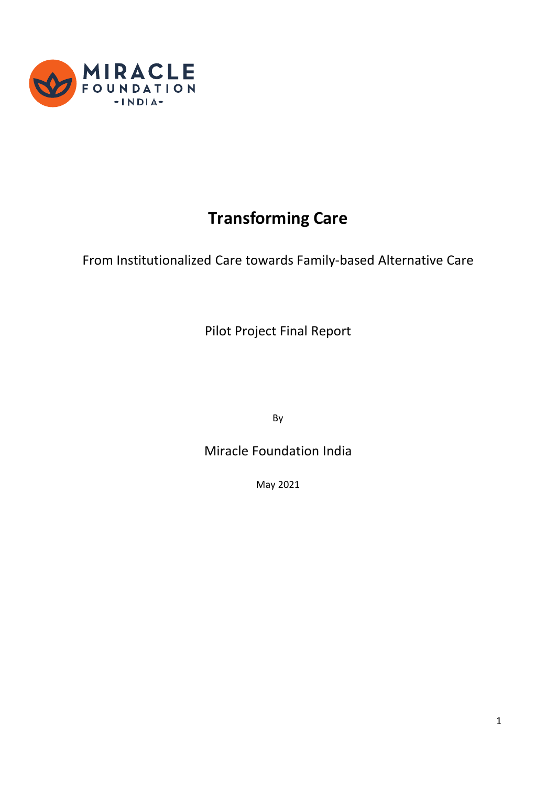

# **Transforming Care**

From Institutionalized Care towards Family-based Alternative Care

Pilot Project Final Report

By

Miracle Foundation India

May 2021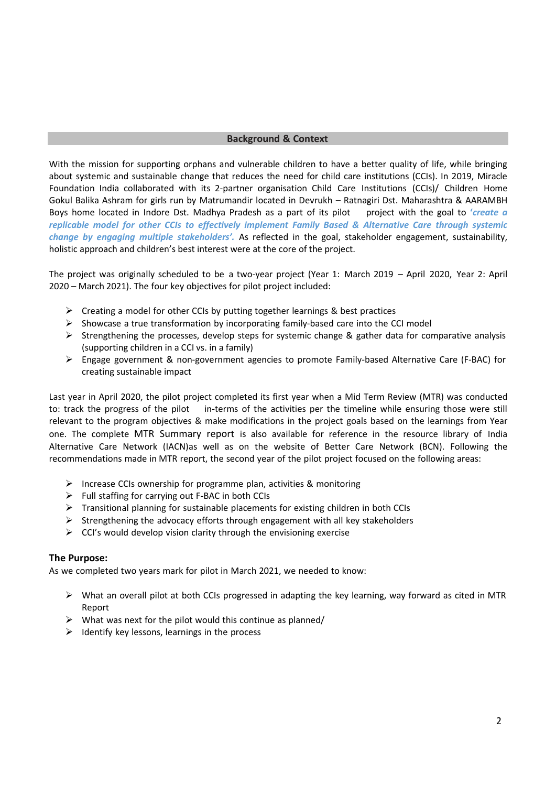#### **Background & Context**

With the mission for supporting orphans and vulnerable children to have a better quality of life, while bringing about systemic and sustainable change that reduces the need for child care institutions (CCIs). In 2019, Miracle Foundation India collaborated with its 2-partner organisation Child Care Institutions (CCIs)/ Children Home Gokul Balika Ashram for girls run by Matrumandir located in Devrukh – Ratnagiri Dst. Maharashtra & AARAMBH Boys home located in Indore Dst. Madhya Pradesh as a part of its pilot project with the goal to **'***create a replicable model for other CCIs to effectively implement Family Based & Alternative Care through systemic change by engaging multiple stakeholders'.* As reflected in the goal, stakeholder engagement, sustainability, holistic approach and children's best interest were at the core of the project.

The project was originally scheduled to be a two-year project (Year 1: March 2019 – April 2020, Year 2: April 2020 – March 2021). The four key objectives for pilot project included:

- ➢ Creating a model for other CCIs by putting together learnings & best practices
- $\triangleright$  Showcase a true transformation by incorporating family-based care into the CCI model
- $\triangleright$  Strengthening the processes, develop steps for systemic change & gather data for comparative analysis (supporting children in a CCI vs. in a family)
- ➢ Engage government & non-government agencies to promote Family-based Alternative Care (F-BAC) for creating sustainable impact

Last year in April 2020, the pilot project completed its first year when a Mid Term Review (MTR) was conducted to: track the progress of the pilot in-terms of the activities per the timeline while ensuring those were still relevant to the program objectives & make modifications in the project goals based on the learnings from Year one. The complete MTR Summary report is also available for reference in the resource library of India Alternative Care Network (IACN)as well as on the website of Better Care Network (BCN). Following the recommendations made in MTR report, the second year of the pilot project focused on the following areas:

- ➢ Increase CCIs ownership for programme plan, activities & monitoring
- $\triangleright$  Full staffing for carrying out F-BAC in both CCIs
- $\triangleright$  Transitional planning for sustainable placements for existing children in both CCIs
- $\triangleright$  Strengthening the advocacy efforts through engagement with all key stakeholders
- $\triangleright$  CCI's would develop vision clarity through the envisioning exercise

#### **The Purpose:**

As we completed two years mark for pilot in March 2021, we needed to know:

- ➢ What an overall pilot at both CCIs progressed in adapting the key learning, way forward as cited in MTR Report
- $\triangleright$  What was next for the pilot would this continue as planned/
- $\triangleright$  Identify key lessons, learnings in the process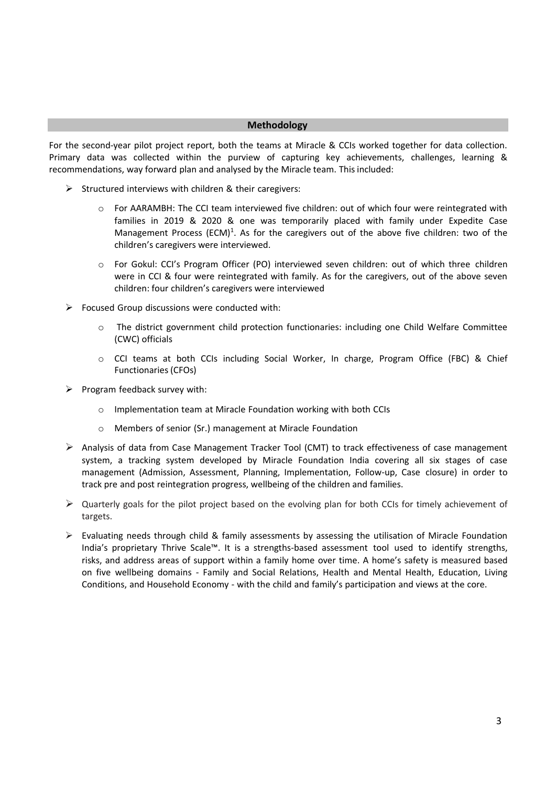#### **Methodology**

For the second-year pilot project report, both the teams at Miracle & CCIs worked together for data collection. Primary data was collected within the purview of capturing key achievements, challenges, learning & recommendations, way forward plan and analysed by the Miracle team. This included:

- $\triangleright$  Structured interviews with children & their caregivers:
	- o For AARAMBH: The CCI team interviewed five children: out of which four were reintegrated with families in 2019 & 2020 & one was temporarily placed with family under Expedite Case Management Process (ECM)<sup>1</sup>. As for the caregivers out of the above five children: two of the children's caregivers were interviewed.
	- o For Gokul: CCI's Program Officer (PO) interviewed seven children: out of which three children were in CCI & four were reintegrated with family. As for the caregivers, out of the above seven children: four children's caregivers were interviewed
- $\triangleright$  Focused Group discussions were conducted with:
	- The district government child protection functionaries: including one Child Welfare Committee (CWC) officials
	- o CCI teams at both CCIs including Social Worker, In charge, Program Office (FBC) & Chief Functionaries (CFOs)
- $\triangleright$  Program feedback survey with:
	- o Implementation team at Miracle Foundation working with both CCIs
	- o Members of senior (Sr.) management at Miracle Foundation
- ➢ Analysis of data from Case Management Tracker Tool (CMT) to track effectiveness of case management system, a tracking system developed by Miracle Foundation India covering all six stages of case management (Admission, Assessment, Planning, Implementation, Follow-up, Case closure) in order to track pre and post reintegration progress, wellbeing of the children and families.
- $\triangleright$  Quarterly goals for the pilot project based on the evolving plan for both CCIs for timely achievement of targets.
- $\triangleright$  Evaluating needs through child & family assessments by assessing the utilisation of Miracle Foundation India's proprietary Thrive Scale™. It is a strengths-based assessment tool used to identify strengths, risks, and address areas of support within a family home over time. A home's safety is measured based on five wellbeing domains - Family and Social Relations, Health and Mental Health, Education, Living Conditions, and Household Economy - with the child and family's participation and views at the core.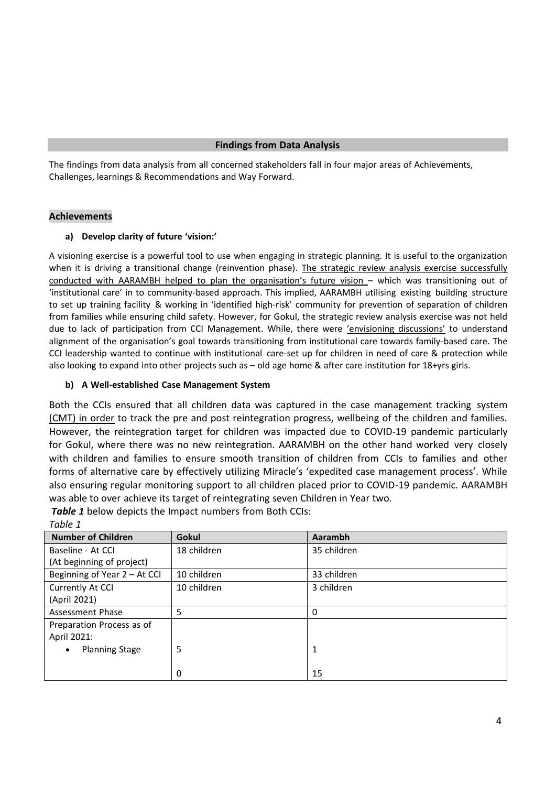The findings from data analysis from all concerned stakeholders fall in four major areas of Achievements, Challenges, learnings & Recommendations and Way Forward.

#### **Achievements**

#### **a) Develop clarity of future 'vision:'**

A visioning exercise is a powerful tool to use when engaging in strategic planning. It is useful to the organization when it is driving a transitional change (reinvention phase). The strategic review analysis exercise successfully conducted with AARAMBH helped to plan the organisation's future vision – which was transitioning out of 'institutional care' in to community-based approach. This implied, AARAMBH utilising existing building structure to set up training facility & working in 'identified high-risk' community for prevention of separation of children from families while ensuring child safety. However, for Gokul, the strategic review analysis exercise was not held due to lack of participation from CCI Management. While, there were 'envisioning discussions' to understand alignment of the organisation's goal towards transitioning from institutional care towards family-based care. The CCI leadership wanted to continue with institutional care-set up for children in need of care & protection while also looking to expand into other projects such as – old age home & after care institution for 18+yrs girls.

#### **b) A Well-established Case Management System**

Both the CCIs ensured that all children data was captured in the case management tracking system (CMT) in order to track the pre and post reintegration progress, wellbeing of the children and families. However, the reintegration target for children was impacted due to COVID-19 pandemic particularly for Gokul, where there was no new reintegration. AARAMBH on the other hand worked very closely with children and families to ensure smooth transition of children from CCIs to families and other forms of alternative care by effectively utilizing Miracle's 'expedited case management process'. While also ensuring regular monitoring support to all children placed prior to COVID-19 pandemic. AARAMBH was able to over achieve its target of reintegrating seven Children in Year two.

| .                                  |             |             |
|------------------------------------|-------------|-------------|
| <b>Number of Children</b>          | Gokul       | Aarambh     |
| Baseline - At CCI                  | 18 children | 35 children |
| (At beginning of project)          |             |             |
| Beginning of Year 2 - At CCI       | 10 children | 33 children |
| Currently At CCI                   | 10 children | 3 children  |
| (April 2021)                       |             |             |
| Assessment Phase                   | 5           | 0           |
| Preparation Process as of          |             |             |
| April 2021:                        |             |             |
| <b>Planning Stage</b><br>$\bullet$ | 5           | 1           |
|                                    |             |             |
|                                    | 0           | 15          |

*Table 1* below depicts the Impact numbers from Both CCIs: *Table 1*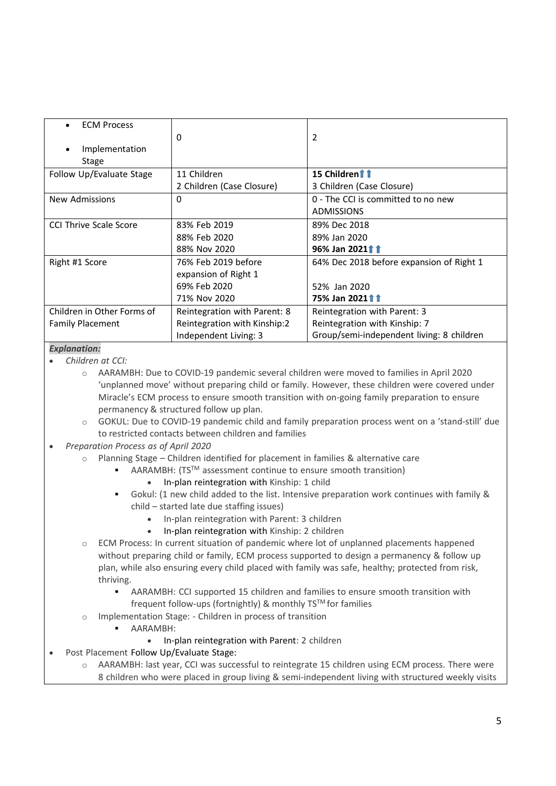| <b>ECM Process</b>            | 0                            | 2                                         |
|-------------------------------|------------------------------|-------------------------------------------|
| Implementation<br>Stage       |                              |                                           |
| Follow Up/Evaluate Stage      | 11 Children                  | 15 Children11                             |
|                               | 2 Children (Case Closure)    | 3 Children (Case Closure)                 |
| <b>New Admissions</b>         | 0                            | 0 - The CCI is committed to no new        |
|                               |                              | <b>ADMISSIONS</b>                         |
| <b>CCI Thrive Scale Score</b> | 83% Feb 2019                 | 89% Dec 2018                              |
|                               | 88% Feb 2020                 | 89% Jan 2020                              |
|                               | 88% Nov 2020                 | 96% Jan 202111                            |
| Right #1 Score                | 76% Feb 2019 before          | 64% Dec 2018 before expansion of Right 1  |
|                               | expansion of Right 1         |                                           |
|                               | 69% Feb 2020                 | 52% Jan 2020                              |
|                               | 71% Nov 2020                 | 75% Jan 202111                            |
| Children in Other Forms of    | Reintegration with Parent: 8 | Reintegration with Parent: 3              |
| <b>Family Placement</b>       | Reintegration with Kinship:2 | Reintegration with Kinship: 7             |
|                               | Independent Living: 3        | Group/semi-independent living: 8 children |

#### *Explanation:*

- *Children at CCI:*
	- o AARAMBH: Due to COVID-19 pandemic several children were moved to families in April 2020 'unplanned move' without preparing child or family. However, these children were covered under Miracle's ECM process to ensure smooth transition with on-going family preparation to ensure permanency & structured follow up plan.
	- o GOKUL: Due to COVID-19 pandemic child and family preparation process went on a 'stand-still' due to restricted contacts between children and families
- *Preparation Process as of April 2020*
	- Planning Stage Children identified for placement in families & alternative care
		- $AARAMBH: (TS<sup>TM</sup> assessment continue to ensure smooth transition)$ 
			- In-plan reintegration with Kinship: 1 child
			- Gokul: (1 new child added to the list. Intensive preparation work continues with family & child – started late due staffing issues)
				- In-plan reintegration with Parent: 3 children
				- In-plan reintegration with Kinship: 2 children
	- o ECM Process: In current situation of pandemic where lot of unplanned placements happened without preparing child or family, ECM process supported to design a permanency & follow up plan, while also ensuring every child placed with family was safe, healthy; protected from risk, thriving.
		- **AARAMBH: CCI supported 15 children and families to ensure smooth transition with** frequent follow-ups (fortnightly) & monthly TS™ for families
	- o Implementation Stage: Children in process of transition
		- AARAMBH:
			- In-plan reintegration with Parent: 2 children
- Post Placement Follow Up/Evaluate Stage:
	- o AARAMBH: last year, CCI was successful to reintegrate 15 children using ECM process. There were 8 children who were placed in group living & semi-independent living with structured weekly visits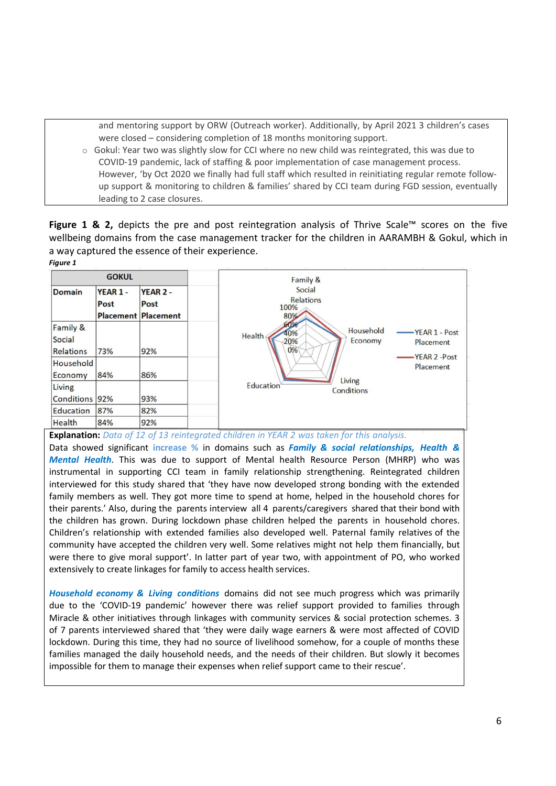and mentoring support by ORW (Outreach worker). Additionally, by April 2021 3 children's cases were closed – considering completion of 18 months monitoring support.

 $\circ$  Gokul: Year two was slightly slow for CCI where no new child was reintegrated, this was due to COVID-19 pandemic, lack of staffing & poor implementation of case management process. However, 'by Oct 2020 we finally had full staff which resulted in reinitiating regular remote followup support & monitoring to children & families' shared by CCI team during FGD session, eventually leading to 2 case closures.

**Figure 1 & 2,** depicts the pre and post reintegration analysis of Thrive Scale™ scores on the five wellbeing domains from the case management tracker for the children in AARAMBH & Gokul, which in a way captured the essence of their experience. *Figure 1*



**Explanation:** *Data of 12 of 13 reintegrated children in YEAR 2 was taken for this analysis.*

Data showed significant **increase %** in domains such as *Family & social relationships, Health & Mental Health*. This was due to support of Mental health Resource Person (MHRP) who was instrumental in supporting CCI team in family relationship strengthening. Reintegrated children interviewed for this study shared that 'they have now developed strong bonding with the extended family members as well. They got more time to spend at home, helped in the household chores for their parents.' Also, during the parents interview all 4 parents/caregivers shared that their bond with the children has grown. During lockdown phase children helped the parents in household chores. Children's relationship with extended families also developed well. Paternal family relatives of the community have accepted the children very well. Some relatives might not help them financially, but were there to give moral support'. In latter part of year two, with appointment of PO, who worked extensively to create linkages for family to access health services.

*Household economy & Living conditions* domains did not see much progress which was primarily due to the 'COVID-19 pandemic' however there was relief support provided to families through Miracle & other initiatives through linkages with community services & social protection schemes. 3 of 7 parents interviewed shared that 'they were daily wage earners & were most affected of COVID lockdown. During this time, they had no source of livelihood somehow, for a couple of months these families managed the daily household needs, and the needs of their children. But slowly it becomes impossible for them to manage their expenses when relief support came to their rescue'.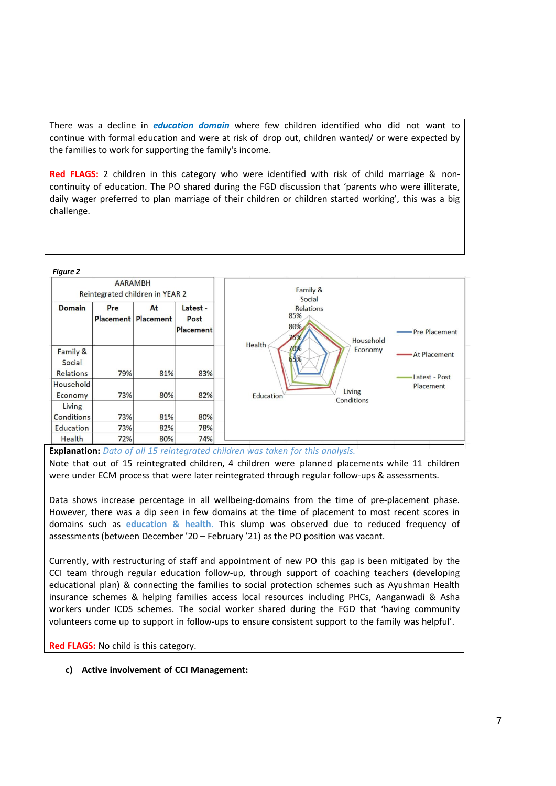There was a decline in *education domain* where few children identified who did not want to continue with formal education and were at risk of drop out, children wanted/ or were expected by the families to work for supporting the family's income.

**Red FLAGS:** 2 children in this category who were identified with risk of child marriage & noncontinuity of education. The PO shared during the FGD discussion that 'parents who were illiterate, daily wager preferred to plan marriage of their children or children started working', this was a big challenge.

#### *Figure 2*

| <b>AARAMBH</b><br>Reintegrated children in YEAR 2 |            |                                  | Family &<br>Social                   |                                                                     |                               |
|---------------------------------------------------|------------|----------------------------------|--------------------------------------|---------------------------------------------------------------------|-------------------------------|
| <b>Domain</b>                                     | Pre        | At<br><b>Placement Placement</b> | Latest -<br>Post<br><b>Placement</b> | <b>Relations</b><br>85%<br>80%<br>75%<br>Household<br><b>Health</b> | Pre Placement                 |
| Family &<br>Social<br><b>Relations</b>            | 79%        | 81%                              | 83%                                  | 70%<br>Economy<br>65%                                               | At Placement<br>Latest - Post |
| Household<br>Economy<br>Living                    | 73%        | 80%                              | 82%                                  | Living<br><b>Education</b><br>Conditions                            | Placement                     |
| <b>Conditions</b><br>Education                    | 73%<br>73% | 81%<br>82%                       | 80%<br>78%                           |                                                                     |                               |
| Health                                            | 72%        | 80%                              | 74%                                  |                                                                     |                               |

**Explanation:** *Data of all 15 reintegrated children was taken for this analysis.*

Note that out of 15 reintegrated children, 4 children were planned placements while 11 children were under ECM process that were later reintegrated through regular follow-ups & assessments.

Data shows increase percentage in all wellbeing-domains from the time of pre-placement phase. However, there was a dip seen in few domains at the time of placement to most recent scores in domains such as **education & health**. This slump was observed due to reduced frequency of assessments (between December '20 – February '21) as the PO position was vacant.

Currently, with restructuring of staff and appointment of new PO this gap is been mitigated by the CCI team through regular education follow-up, through support of coaching teachers (developing educational plan) & connecting the families to social protection schemes such as Ayushman Health insurance schemes & helping families access local resources including PHCs, Aanganwadi & Asha workers under ICDS schemes. The social worker shared during the FGD that 'having community volunteers come up to support in follow-ups to ensure consistent support to the family was helpful'.

**Red FLAGS:** No child is this category.

**c) Active involvement of CCI Management:**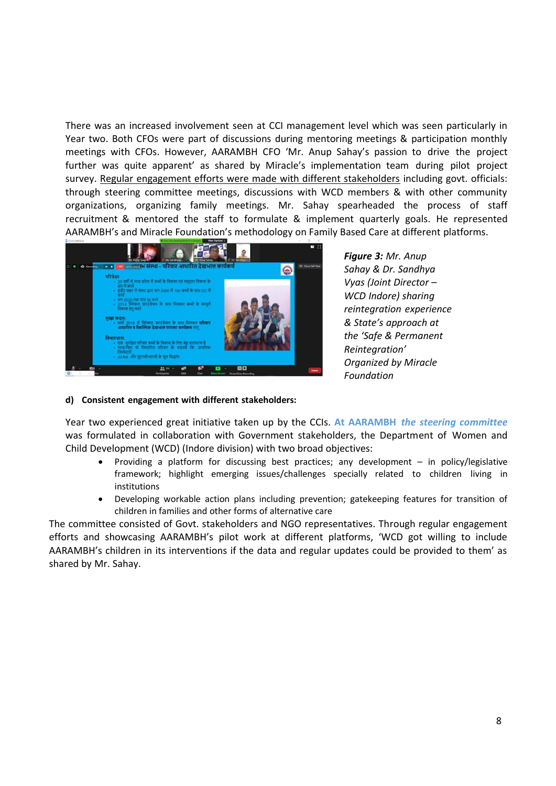There was an increased involvement seen at CCI management level which was seen particularly in Year two. Both CFOs were part of discussions during mentoring meetings & participation monthly meetings with CFOs. However, AARAMBH CFO 'Mr. Anup Sahay's passion to drive the project further was quite apparent' as shared by Miracle's implementation team during pilot project survey. Regular engagement efforts were made with different stakeholders including govt. officials: through steering committee meetings, discussions with WCD members & with other community organizations, organizing family meetings. Mr. Sahay spearheaded the process of staff recruitment & mentored the staff to formulate & implement quarterly goals. He represented AARAMBH's and Miracle Foundation's methodology on Family Based Care at different platforms.



*Figure 3: Mr. Anup Sahay & Dr. Sandhya Vyas (Joint Director – WCD Indore) sharing reintegration experience & State's approach at the 'Safe & Permanent Reintegration' Organized by Miracle Foundation*

#### **d) Consistent engagement with different stakeholders:**

Year two experienced great initiative taken up by the CCIs. **At AARAMBH** *the steering committee* was formulated in collaboration with Government stakeholders, the Department of Women and Child Development (WCD) (Indore division) with two broad objectives:

- Providing a platform for discussing best practices; any development in policy/legislative framework; highlight emerging issues/challenges specially related to children living in institutions
- Developing workable action plans including prevention; gatekeeping features for transition of children in families and other forms of alternative care

The committee consisted of Govt. stakeholders and NGO representatives. Through regular engagement efforts and showcasing AARAMBH's pilot work at different platforms, 'WCD got willing to include AARAMBH's children in its interventions if the data and regular updates could be provided to them' as shared by Mr. Sahay.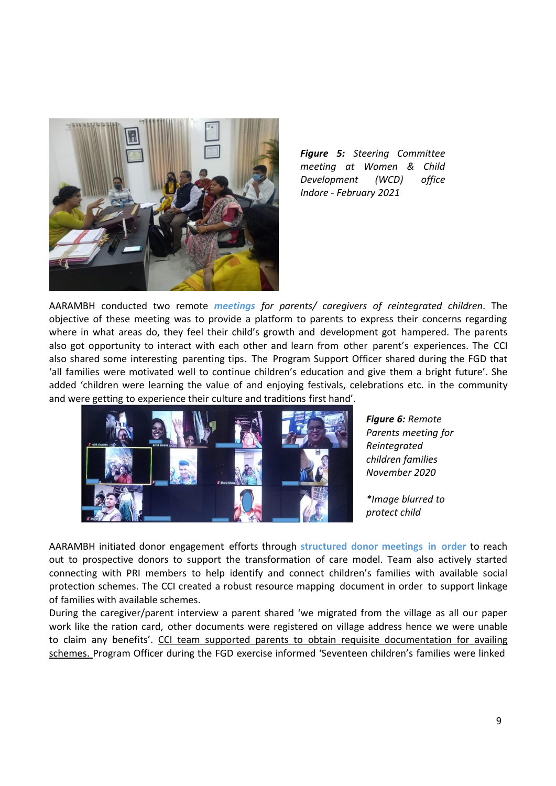

*Figure 5: Steering Committee meeting at Women & Child Development (WCD) office Indore - February 2021*

AARAMBH conducted two remote *meetings for parents/ caregivers of reintegrated children*. The objective of these meeting was to provide a platform to parents to express their concerns regarding where in what areas do, they feel their child's growth and development got hampered. The parents also got opportunity to interact with each other and learn from other parent's experiences. The CCI also shared some interesting parenting tips. The Program Support Officer shared during the FGD that 'all families were motivated well to continue children's education and give them a bright future'. She added 'children were learning the value of and enjoying festivals, celebrations etc. in the community and were getting to experience their culture and traditions first hand'.



*Figure 6: Remote Parents meeting for Reintegrated children families November 2020*

*\*Image blurred to protect child*

AARAMBH initiated donor engagement efforts through **structured donor meetings in order** to reach out to prospective donors to support the transformation of care model. Team also actively started connecting with PRI members to help identify and connect children's families with available social protection schemes. The CCI created a robust resource mapping document in order to support linkage of families with available schemes.

During the caregiver/parent interview a parent shared 'we migrated from the village as all our paper work like the ration card, other documents were registered on village address hence we were unable to claim any benefits'. CCI team supported parents to obtain requisite documentation for availing schemes. Program Officer during the FGD exercise informed 'Seventeen children's families were linked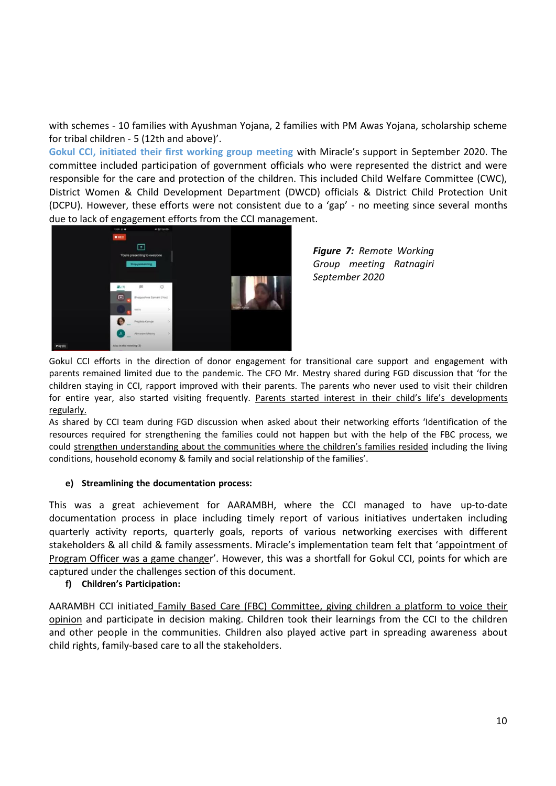with schemes - 10 families with Ayushman Yojana, 2 families with PM Awas Yojana, scholarship scheme for tribal children - 5 (12th and above)'.

**Gokul CCI, initiated their first working group meeting** with Miracle's support in September 2020. The committee included participation of government officials who were represented the district and were responsible for the care and protection of the children. This included Child Welfare Committee (CWC), District Women & Child Development Department (DWCD) officials & District Child Protection Unit (DCPU). However, these efforts were not consistent due to a 'gap' - no meeting since several months due to lack of engagement efforts from the CCI management.



*Figure 7: Remote Working Group meeting Ratnagiri September 2020*

Gokul CCI efforts in the direction of donor engagement for transitional care support and engagement with parents remained limited due to the pandemic. The CFO Mr. Mestry shared during FGD discussion that 'for the children staying in CCI, rapport improved with their parents. The parents who never used to visit their children for entire year, also started visiting frequently. Parents started interest in their child's life's developments regularly.

As shared by CCI team during FGD discussion when asked about their networking efforts 'Identification of the resources required for strengthening the families could not happen but with the help of the FBC process, we could strengthen understanding about the communities where the children's families resided including the living conditions, household economy & family and social relationship of the families'.

#### **e) Streamlining the documentation process:**

This was a great achievement for AARAMBH, where the CCI managed to have up-to-date documentation process in place including timely report of various initiatives undertaken including quarterly activity reports, quarterly goals, reports of various networking exercises with different stakeholders & all child & family assessments. Miracle's implementation team felt that 'appointment of Program Officer was a game changer'. However, this was a shortfall for Gokul CCI, points for which are captured under the challenges section of this document.

#### **f) Children's Participation:**

AARAMBH CCI initiated Family Based Care (FBC) Committee, giving children a platform to voice their opinion and participate in decision making. Children took their learnings from the CCI to the children and other people in the communities. Children also played active part in spreading awareness about child rights, family-based care to all the stakeholders.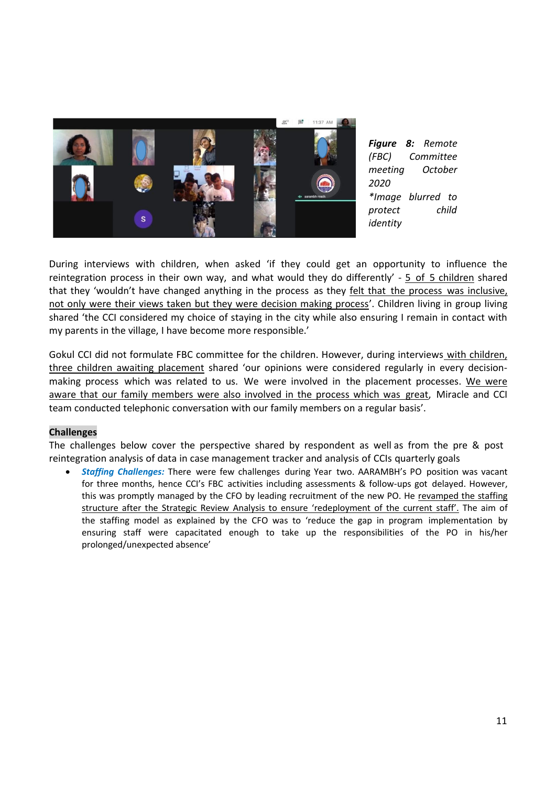

*Figure 8: Remote (FBC) Committee meeting October 2020 \*Image blurred to protect child identity*

During interviews with children, when asked 'if they could get an opportunity to influence the reintegration process in their own way, and what would they do differently' - 5 of 5 children shared that they 'wouldn't have changed anything in the process as they felt that the process was inclusive, not only were their views taken but they were decision making process'. Children living in group living shared 'the CCI considered my choice of staying in the city while also ensuring I remain in contact with my parents in the village, I have become more responsible.'

Gokul CCI did not formulate FBC committee for the children. However, during interviews with children, three children awaiting placement shared 'our opinions were considered regularly in every decisionmaking process which was related to us. We were involved in the placement processes. We were aware that our family members were also involved in the process which was great, Miracle and CCI team conducted telephonic conversation with our family members on a regular basis'.

#### **Challenges**

The challenges below cover the perspective shared by respondent as well as from the pre & post reintegration analysis of data in case management tracker and analysis of CCIs quarterly goals

• *Staffing Challenges:* There were few challenges during Year two. AARAMBH's PO position was vacant for three months, hence CCI's FBC activities including assessments & follow-ups got delayed. However, this was promptly managed by the CFO by leading recruitment of the new PO. He revamped the staffing structure after the Strategic Review Analysis to ensure 'redeployment of the current staff'. The aim of the staffing model as explained by the CFO was to 'reduce the gap in program implementation by ensuring staff were capacitated enough to take up the responsibilities of the PO in his/her prolonged/unexpected absence'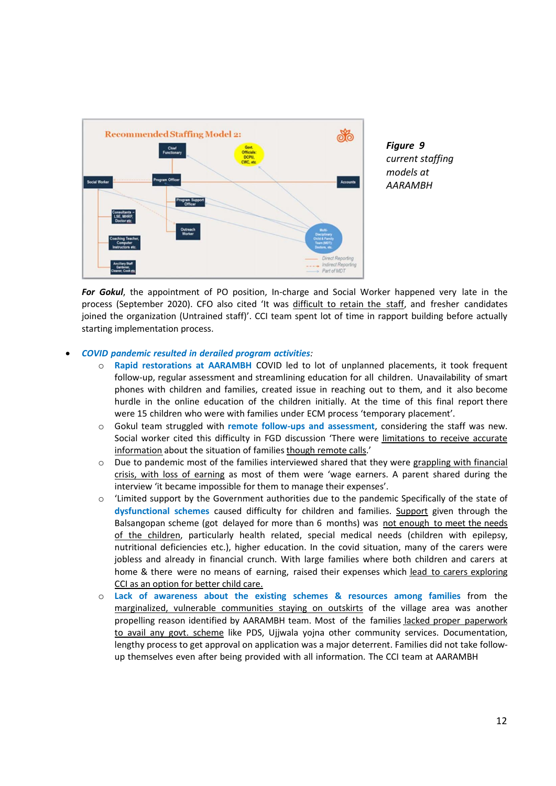

*For Gokul*, the appointment of PO position, In-charge and Social Worker happened very late in the process (September 2020). CFO also cited 'It was difficult to retain the staff, and fresher candidates joined the organization (Untrained staff)'. CCI team spent lot of time in rapport building before actually starting implementation process.

#### • *COVID pandemic resulted in derailed program activities:*

- o **Rapid restorations at AARAMBH** COVID led to lot of unplanned placements, it took frequent follow-up, regular assessment and streamlining education for all children. Unavailability of smart phones with children and families, created issue in reaching out to them, and it also become hurdle in the online education of the children initially. At the time of this final report there were 15 children who were with families under ECM process 'temporary placement'.
- o Gokul team struggled with **remote follow-ups and assessment**, considering the staff was new. Social worker cited this difficulty in FGD discussion 'There were limitations to receive accurate information about the situation of families though remote calls.'
- o Due to pandemic most of the families interviewed shared that they were grappling with financial crisis, with loss of earning as most of them were 'wage earners. A parent shared during the interview 'it became impossible for them to manage their expenses'.
- o 'Limited support by the Government authorities due to the pandemic Specifically of the state of **dysfunctional schemes** caused difficulty for children and families. Support given through the Balsangopan scheme (got delayed for more than 6 months) was not enough to meet the needs of the children, particularly health related, special medical needs (children with epilepsy, nutritional deficiencies etc.), higher education. In the covid situation, many of the carers were jobless and already in financial crunch. With large families where both children and carers at home & there were no means of earning, raised their expenses which lead to carers exploring CCI as an option for better child care.
- o **Lack of awareness about the existing schemes & resources among families** from the marginalized, vulnerable communities staying on outskirts of the village area was another propelling reason identified by AARAMBH team. Most of the families lacked proper paperwork to avail any govt. scheme like PDS, Ujjwala yojna other community services. Documentation, lengthy process to get approval on application was a major deterrent. Families did not take followup themselves even after being provided with all information. The CCI team at AARAMBH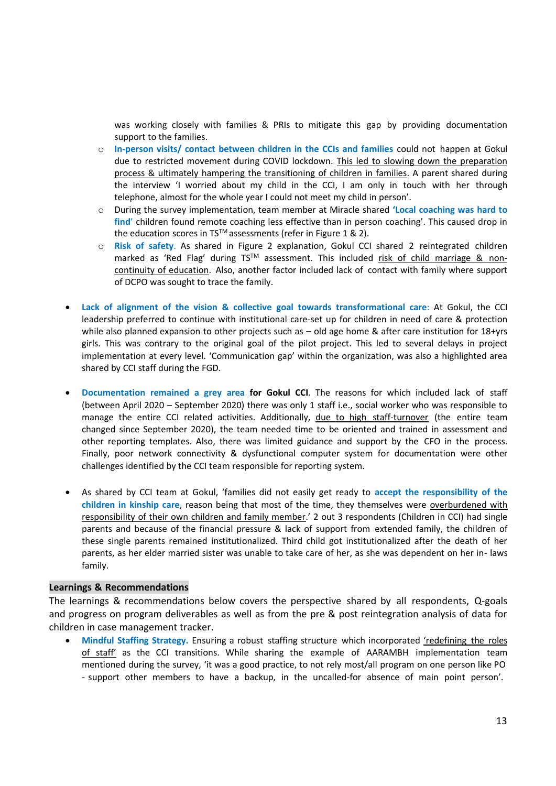was working closely with families & PRIs to mitigate this gap by providing documentation support to the families.

- o **In-person visits/ contact between children in the CCIs and families** could not happen at Gokul due to restricted movement during COVID lockdown. This led to slowing down the preparation process & ultimately hampering the transitioning of children in families. A parent shared during the interview 'I worried about my child in the CCI, I am only in touch with her through telephone, almost for the whole year I could not meet my child in person'.
- o During the survey implementation, team member at Miracle shared **'Local coaching was hard to find**' children found remote coaching less effective than in person coaching'. This caused drop in the education scores in TS<sup>TM</sup> assessments (refer in Figure 1 & 2).
- o **Risk of safety**. As shared in Figure 2 explanation, Gokul CCI shared 2 reintegrated children marked as 'Red Flag' during TS™ assessment. This included risk of child marriage & noncontinuity of education. Also, another factor included lack of contact with family where support of DCPO was sought to trace the family.
- **Lack of alignment of the vision & collective goal towards transformational care**: At Gokul, the CCI leadership preferred to continue with institutional care-set up for children in need of care & protection while also planned expansion to other projects such as – old age home & after care institution for 18+yrs girls. This was contrary to the original goal of the pilot project. This led to several delays in project implementation at every level. 'Communication gap' within the organization, was also a highlighted area shared by CCI staff during the FGD.
- **Documentation remained a grey area for Gokul CCI**. The reasons for which included lack of staff (between April 2020 – September 2020) there was only 1 staff i.e., social worker who was responsible to manage the entire CCI related activities. Additionally, due to high staff-turnover (the entire team changed since September 2020), the team needed time to be oriented and trained in assessment and other reporting templates. Also, there was limited guidance and support by the CFO in the process. Finally, poor network connectivity & dysfunctional computer system for documentation were other challenges identified by the CCI team responsible for reporting system.
- As shared by CCI team at Gokul, 'families did not easily get ready to **accept the responsibility of the children in kinship care**, reason being that most of the time, they themselves were overburdened with responsibility of their own children and family member.' 2 out 3 respondents (Children in CCI) had single parents and because of the financial pressure & lack of support from extended family, the children of these single parents remained institutionalized. Third child got institutionalized after the death of her parents, as her elder married sister was unable to take care of her, as she was dependent on her in- laws family.

#### **Learnings & Recommendations**

The learnings & recommendations below covers the perspective shared by all respondents, Q-goals and progress on program deliverables as well as from the pre & post reintegration analysis of data for children in case management tracker.

• Mindful Staffing Strategy. Ensuring a robust staffing structure which incorporated 'redefining the roles of staff' as the CCI transitions. While sharing the example of AARAMBH implementation team mentioned during the survey, 'it was a good practice, to not rely most/all program on one person like PO - support other members to have a backup, in the uncalled-for absence of main point person'.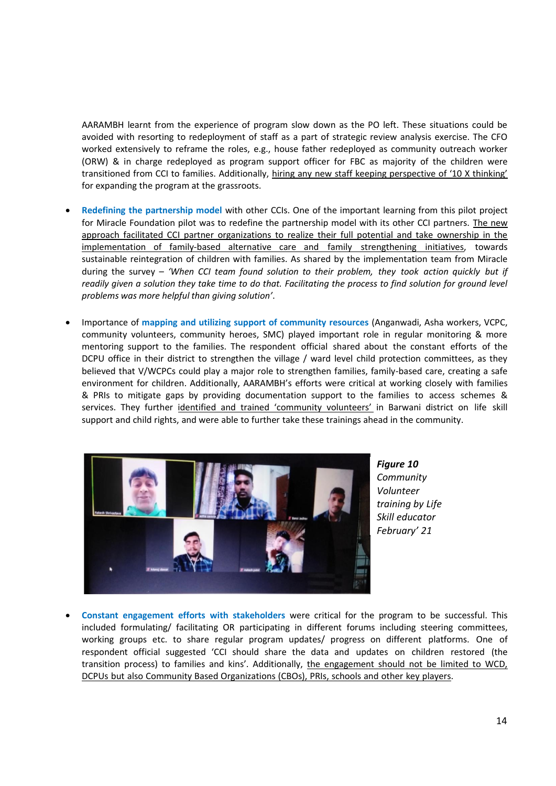AARAMBH learnt from the experience of program slow down as the PO left. These situations could be avoided with resorting to redeployment of staff as a part of strategic review analysis exercise. The CFO worked extensively to reframe the roles, e.g., house father redeployed as community outreach worker (ORW) & in charge redeployed as program support officer for FBC as majority of the children were transitioned from CCI to families. Additionally, hiring any new staff keeping perspective of '10 X thinking' for expanding the program at the grassroots.

- **Redefining the partnership model** with other CCIs. One of the important learning from this pilot project for Miracle Foundation pilot was to redefine the partnership model with its other CCI partners. The new approach facilitated CCI partner organizations to realize their full potential and take ownership in the implementation of family-based alternative care and family strengthening initiatives, towards sustainable reintegration of children with families. As shared by the implementation team from Miracle during the survey – *'When CCI team found solution to their problem, they took action quickly but if readily given a solution they take time to do that. Facilitating the process to find solution for ground level problems was more helpful than giving solution'*.
- Importance of **mapping and utilizing support of community resources** (Anganwadi, Asha workers, VCPC, community volunteers, community heroes, SMC) played important role in regular monitoring & more mentoring support to the families. The respondent official shared about the constant efforts of the DCPU office in their district to strengthen the village / ward level child protection committees, as they believed that V/WCPCs could play a major role to strengthen families, family-based care, creating a safe environment for children. Additionally, AARAMBH's efforts were critical at working closely with families & PRIs to mitigate gaps by providing documentation support to the families to access schemes & services. They further identified and trained 'community volunteers' in Barwani district on life skill support and child rights, and were able to further take these trainings ahead in the community.



*Figure 10 Community Volunteer training by Life Skill educator February' 21*

• **Constant engagement efforts with stakeholders** were critical for the program to be successful. This included formulating/ facilitating OR participating in different forums including steering committees, working groups etc. to share regular program updates/ progress on different platforms. One of respondent official suggested 'CCI should share the data and updates on children restored (the transition process) to families and kins'. Additionally, the engagement should not be limited to WCD, DCPUs but also Community Based Organizations (CBOs), PRIs, schools and other key players.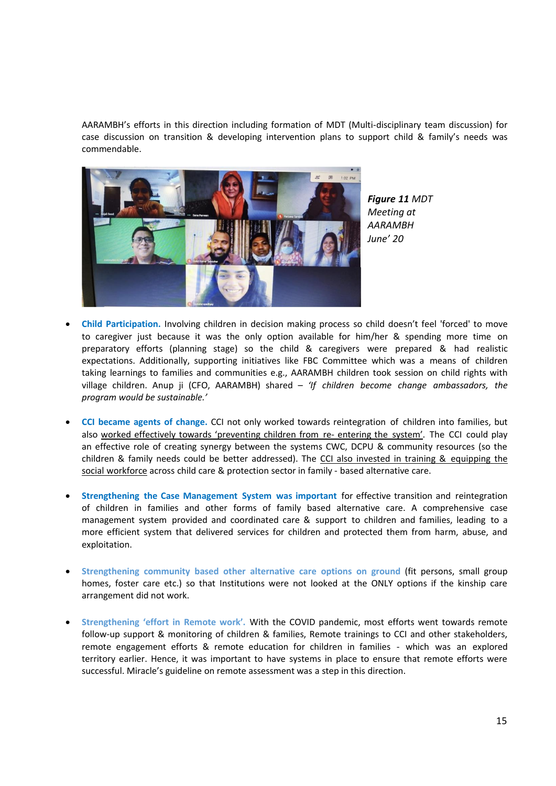AARAMBH's efforts in this direction including formation of MDT (Multi-disciplinary team discussion) for case discussion on transition & developing intervention plans to support child & family's needs was commendable.



*Figure 11 MDT Meeting at AARAMBH June' 20*

- **Child Participation.** Involving children in decision making process so child doesn't feel 'forced' to move to caregiver just because it was the only option available for him/her & spending more time on preparatory efforts (planning stage) so the child & caregivers were prepared & had realistic expectations. Additionally, supporting initiatives like FBC Committee which was a means of children taking learnings to families and communities e.g., AARAMBH children took session on child rights with village children. Anup ji (CFO, AARAMBH) shared – *'If children become change ambassadors, the program would be sustainable.'*
- **CCI became agents of change.** CCI not only worked towards reintegration of children into families, but also worked effectively towards 'preventing children from re- entering the system'. The CCI could play an effective role of creating synergy between the systems CWC, DCPU & community resources (so the children & family needs could be better addressed). The CCI also invested in training & equipping the social workforce across child care & protection sector in family - based alternative care.
- **Strengthening the Case Management System was important** for effective transition and reintegration of children in families and other forms of family based alternative care. A comprehensive case management system provided and coordinated care & support to children and families, leading to a more efficient system that delivered services for children and protected them from harm, abuse, and exploitation.
- **Strengthening community based other alternative care options on ground** (fit persons, small group homes, foster care etc.) so that Institutions were not looked at the ONLY options if the kinship care arrangement did not work.
- **Strengthening 'effort in Remote work'.** With the COVID pandemic, most efforts went towards remote follow-up support & monitoring of children & families, Remote trainings to CCI and other stakeholders, remote engagement efforts & remote education for children in families - which was an explored territory earlier. Hence, it was important to have systems in place to ensure that remote efforts were successful. Miracle's guideline on remote assessment was a step in this direction.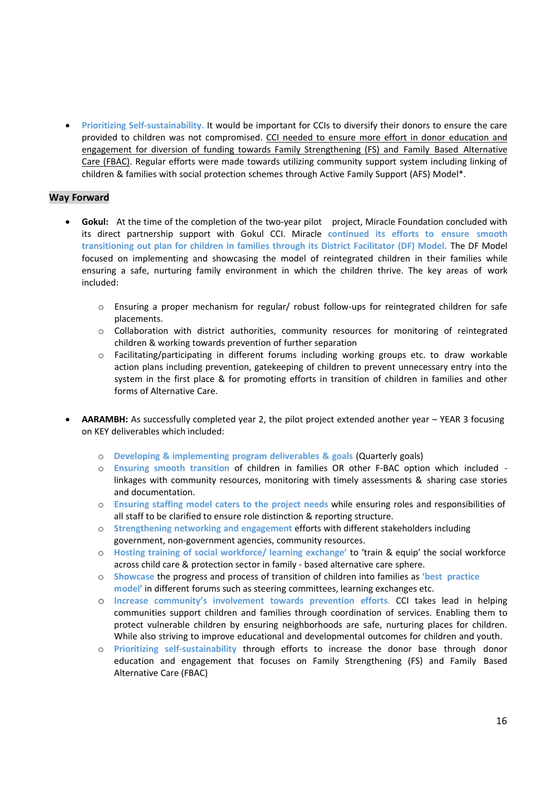• **Prioritizing Self-sustainability.** It would be important for CCIs to diversify their donors to ensure the care provided to children was not compromised. CCI needed to ensure more effort in donor education and engagement for diversion of funding towards Family Strengthening (FS) and Family Based Alternative Care (FBAC). Regular efforts were made towards utilizing community support system including linking of children & families with social protection schemes through Active Family Support (AFS) Model\*.

#### **Way Forward**

- Gokul: At the time of the completion of the two-year pilot project, Miracle Foundation concluded with its direct partnership support with Gokul CCI. Miracle **continued its efforts to ensure smooth transitioning out plan for children in families through its District Facilitator (DF) Model.** The DF Model focused on implementing and showcasing the model of reintegrated children in their families while ensuring a safe, nurturing family environment in which the children thrive. The key areas of work included:
	- o Ensuring a proper mechanism for regular/ robust follow-ups for reintegrated children for safe placements.
	- $\circ$  Collaboration with district authorities, community resources for monitoring of reintegrated children & working towards prevention of further separation
	- $\circ$  Facilitating/participating in different forums including working groups etc. to draw workable action plans including prevention, gatekeeping of children to prevent unnecessary entry into the system in the first place & for promoting efforts in transition of children in families and other forms of Alternative Care.
- **AARAMBH:** As successfully completed year 2, the pilot project extended another year YEAR 3 focusing on KEY deliverables which included:
	- o **Developing & implementing program deliverables & goals** (Quarterly goals)
	- o **Ensuring smooth transition** of children in families OR other F-BAC option which included linkages with community resources, monitoring with timely assessments & sharing case stories and documentation.
	- o **Ensuring staffing model caters to the project needs** while ensuring roles and responsibilities of all staff to be clarified to ensure role distinction & reporting structure.
	- o **Strengthening networking and engagement** efforts with different stakeholders including government, non-government agencies, community resources.
	- o **Hosting training of social workforce/ learning exchange'** to 'train & equip' the social workforce across child care & protection sector in family - based alternative care sphere.
	- o **Showcase** the progress and process of transition of children into families as **'best practice model'** in different forums such as steering committees, learning exchanges etc.
	- o **Increase community's involvement towards prevention efforts**. CCI takes lead in helping communities support children and families through coordination of services. Enabling them to protect vulnerable children by ensuring neighborhoods are safe, nurturing places for children. While also striving to improve educational and developmental outcomes for children and youth.
	- o **Prioritizing self-sustainability** through efforts to increase the donor base through donor education and engagement that focuses on Family Strengthening (FS) and Family Based Alternative Care (FBAC)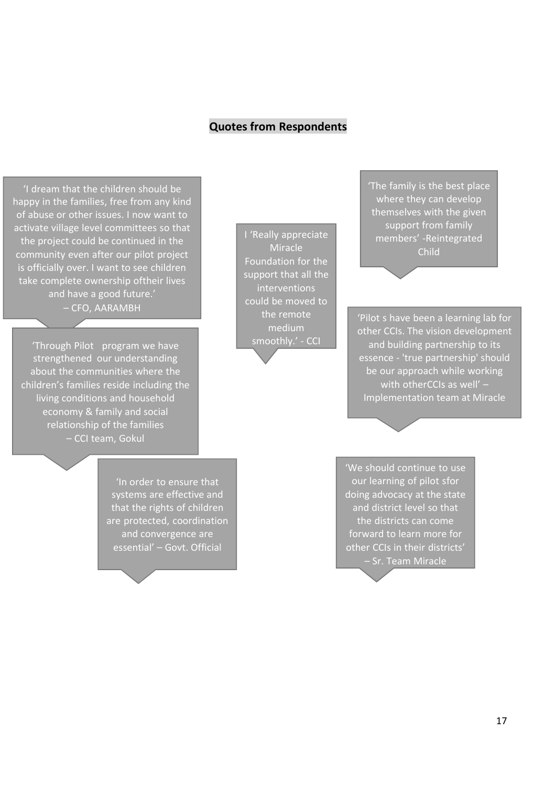## **Quotes from Respondents**

'I dream that the children should be happy in the families, free from any kind of abuse or other issues. I now want to activate village level committees so that the project could be continued in the community even after our pilot project is officially over. I want to see children take complete ownership oftheir lives and have a good future.' – CFO, AARAMBH

'Through Pilot program we have strengthened our understanding about the communities where the children's families reside including the living conditions and household economy & family and social relationship of the families – CCI team, Gokul

I 'Really appreciate Miracle Foundation for the support that all the interventions could be moved to the remote medium smoothly.' - CCI

'The family is the best place where they can develop themselves with the given support from family members' -Reintegrated Child

'Pilot s have been a learning lab for other CCIs. The vision development and building partnership to its essence - 'true partnership' should be our approach while working with otherCCIs as well' – Implementation team at Miracle

'In order to ensure that systems are effective and that the rights of children are protected, coordination and convergence are essential' – Govt. Official

'We should continue to use our learning of pilot sfor doing advocacy at the state and district level so that the districts can come forward to learn more for other CCIs in their districts' – Sr. Team Miracle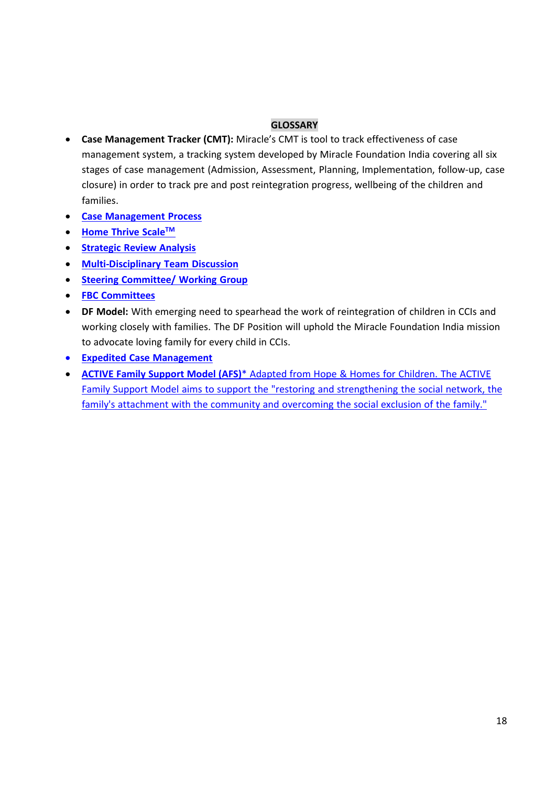### **GLOSSARY**

- **Case Management Tracker (CMT):** Miracle's CMT is tool to track effectiveness of case management system, a tracking system developed by Miracle Foundation India covering all six stages of case management (Admission, Assessment, Planning, Implementation, follow-up, case closure) in order to track pre and post reintegration progress, wellbeing of the children and families.
- **Case Management Process**
- **Home Thrive ScaleTM**
- **Strategic Review Analysis**
- **Multi-Disciplinary Team Discussion**
- **Steering Committee/ Working Group**
- **FBC Committees**
- **DF Model:** With emerging need to spearhead the work of reintegration of children in CCIs and working closely with families. The DF Position will uphold the Miracle Foundation India mission to advocate loving family for every child in CCIs.
- **Expedited Case Management**
- **ACTIVE Family Support Model (AFS)**\* Adapted from Hope & Homes for Children. The ACTIVE Family Support Model aims to support the "restoring and strengthening the social network, the family's attachment with the community and overcoming the social exclusion of the family."